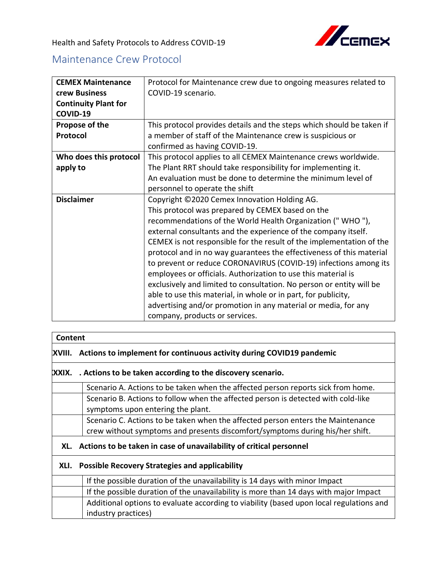

Health and Safety Protocols to Address COVID-19

## Maintenance Crew Protocol

| <b>CEMEX Maintenance</b>    | Protocol for Maintenance crew due to ongoing measures related to      |  |  |  |
|-----------------------------|-----------------------------------------------------------------------|--|--|--|
| crew Business               | COVID-19 scenario.                                                    |  |  |  |
| <b>Continuity Plant for</b> |                                                                       |  |  |  |
| COVID-19                    |                                                                       |  |  |  |
| Propose of the              | This protocol provides details and the steps which should be taken if |  |  |  |
| Protocol                    | a member of staff of the Maintenance crew is suspicious or            |  |  |  |
|                             | confirmed as having COVID-19.                                         |  |  |  |
| Who does this protocol      | This protocol applies to all CEMEX Maintenance crews worldwide.       |  |  |  |
| apply to                    | The Plant RRT should take responsibility for implementing it.         |  |  |  |
|                             | An evaluation must be done to determine the minimum level of          |  |  |  |
|                             | personnel to operate the shift                                        |  |  |  |
| <b>Disclaimer</b>           | Copyright ©2020 Cemex Innovation Holding AG.                          |  |  |  |
|                             | This protocol was prepared by CEMEX based on the                      |  |  |  |
|                             | recommendations of the World Health Organization ("WHO"),             |  |  |  |
|                             | external consultants and the experience of the company itself.        |  |  |  |
|                             | CEMEX is not responsible for the result of the implementation of the  |  |  |  |
|                             | protocol and in no way guarantees the effectiveness of this material  |  |  |  |
|                             | to prevent or reduce CORONAVIRUS (COVID-19) infections among its      |  |  |  |
|                             | employees or officials. Authorization to use this material is         |  |  |  |
|                             | exclusively and limited to consultation. No person or entity will be  |  |  |  |
|                             | able to use this material, in whole or in part, for publicity,        |  |  |  |
|                             | advertising and/or promotion in any material or media, for any        |  |  |  |
|                             | company, products or services.                                        |  |  |  |

| XVIII. Actions to implement for continuous activity during COVID19 pandemic |                                                                                                                                                                 |  |  |  |
|-----------------------------------------------------------------------------|-----------------------------------------------------------------------------------------------------------------------------------------------------------------|--|--|--|
| XXIX. . Actions to be taken according to the discovery scenario.            |                                                                                                                                                                 |  |  |  |
|                                                                             | Scenario A. Actions to be taken when the affected person reports sick from home.                                                                                |  |  |  |
|                                                                             | Scenario B. Actions to follow when the affected person is detected with cold-like<br>symptoms upon entering the plant.                                          |  |  |  |
|                                                                             | Scenario C. Actions to be taken when the affected person enters the Maintenance<br>crew without symptoms and presents discomfort/symptoms during his/her shift. |  |  |  |
|                                                                             | XL. Actions to be taken in case of unavailability of critical personnel                                                                                         |  |  |  |
| XLI.                                                                        | <b>Possible Recovery Strategies and applicability</b>                                                                                                           |  |  |  |
|                                                                             |                                                                                                                                                                 |  |  |  |
|                                                                             | If the possible duration of the unavailability is 14 days with minor Impact                                                                                     |  |  |  |
|                                                                             | If the possible duration of the unavailability is more than 14 days with major Impact                                                                           |  |  |  |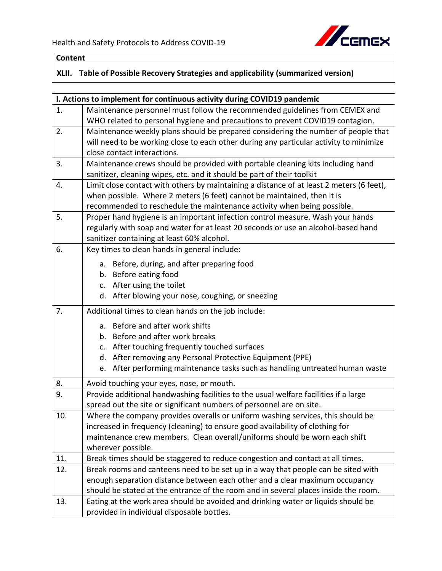

## **Content**

## **XLII. Table of Possible Recovery Strategies and applicability (summarized version)**

|     | I. Actions to implement for continuous activity during COVID19 pandemic                  |  |  |  |  |  |  |
|-----|------------------------------------------------------------------------------------------|--|--|--|--|--|--|
| 1.  | Maintenance personnel must follow the recommended guidelines from CEMEX and              |  |  |  |  |  |  |
|     | WHO related to personal hygiene and precautions to prevent COVID19 contagion.            |  |  |  |  |  |  |
| 2.  | Maintenance weekly plans should be prepared considering the number of people that        |  |  |  |  |  |  |
|     | will need to be working close to each other during any particular activity to minimize   |  |  |  |  |  |  |
|     | close contact interactions.                                                              |  |  |  |  |  |  |
| 3.  | Maintenance crews should be provided with portable cleaning kits including hand          |  |  |  |  |  |  |
|     | sanitizer, cleaning wipes, etc. and it should be part of their toolkit                   |  |  |  |  |  |  |
| 4.  | Limit close contact with others by maintaining a distance of at least 2 meters (6 feet), |  |  |  |  |  |  |
|     | when possible. Where 2 meters (6 feet) cannot be maintained, then it is                  |  |  |  |  |  |  |
|     | recommended to reschedule the maintenance activity when being possible.                  |  |  |  |  |  |  |
| 5.  | Proper hand hygiene is an important infection control measure. Wash your hands           |  |  |  |  |  |  |
|     | regularly with soap and water for at least 20 seconds or use an alcohol-based hand       |  |  |  |  |  |  |
|     | sanitizer containing at least 60% alcohol.                                               |  |  |  |  |  |  |
| 6.  | Key times to clean hands in general include:                                             |  |  |  |  |  |  |
|     | a. Before, during, and after preparing food                                              |  |  |  |  |  |  |
|     | b. Before eating food                                                                    |  |  |  |  |  |  |
|     | c. After using the toilet                                                                |  |  |  |  |  |  |
|     | d. After blowing your nose, coughing, or sneezing                                        |  |  |  |  |  |  |
| 7.  | Additional times to clean hands on the job include:                                      |  |  |  |  |  |  |
|     | a. Before and after work shifts                                                          |  |  |  |  |  |  |
|     | b. Before and after work breaks                                                          |  |  |  |  |  |  |
|     | c. After touching frequently touched surfaces                                            |  |  |  |  |  |  |
|     | d. After removing any Personal Protective Equipment (PPE)                                |  |  |  |  |  |  |
|     | e. After performing maintenance tasks such as handling untreated human waste             |  |  |  |  |  |  |
| 8.  | Avoid touching your eyes, nose, or mouth.                                                |  |  |  |  |  |  |
| 9.  | Provide additional handwashing facilities to the usual welfare facilities if a large     |  |  |  |  |  |  |
|     | spread out the site or significant numbers of personnel are on site.                     |  |  |  |  |  |  |
| 10. | Where the company provides overalls or uniform washing services, this should be          |  |  |  |  |  |  |
|     | increased in frequency (cleaning) to ensure good availability of clothing for            |  |  |  |  |  |  |
|     | maintenance crew members. Clean overall/uniforms should be worn each shift               |  |  |  |  |  |  |
|     | wherever possible.                                                                       |  |  |  |  |  |  |
| 11. | Break times should be staggered to reduce congestion and contact at all times.           |  |  |  |  |  |  |
| 12. | Break rooms and canteens need to be set up in a way that people can be sited with        |  |  |  |  |  |  |
|     | enough separation distance between each other and a clear maximum occupancy              |  |  |  |  |  |  |
|     | should be stated at the entrance of the room and in several places inside the room.      |  |  |  |  |  |  |
| 13. | Eating at the work area should be avoided and drinking water or liquids should be        |  |  |  |  |  |  |
|     | provided in individual disposable bottles.                                               |  |  |  |  |  |  |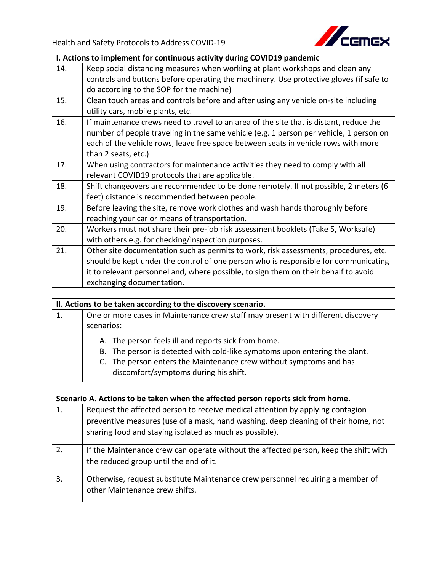

|     | I. Actions to implement for continuous activity during COVID19 pandemic                |  |  |  |  |
|-----|----------------------------------------------------------------------------------------|--|--|--|--|
| 14. | Keep social distancing measures when working at plant workshops and clean any          |  |  |  |  |
|     | controls and buttons before operating the machinery. Use protective gloves (if safe to |  |  |  |  |
|     | do according to the SOP for the machine)                                               |  |  |  |  |
| 15. | Clean touch areas and controls before and after using any vehicle on-site including    |  |  |  |  |
|     | utility cars, mobile plants, etc.                                                      |  |  |  |  |
| 16. | If maintenance crews need to travel to an area of the site that is distant, reduce the |  |  |  |  |
|     | number of people traveling in the same vehicle (e.g. 1 person per vehicle, 1 person on |  |  |  |  |
|     | each of the vehicle rows, leave free space between seats in vehicle rows with more     |  |  |  |  |
|     | than 2 seats, etc.)                                                                    |  |  |  |  |
| 17. | When using contractors for maintenance activities they need to comply with all         |  |  |  |  |
|     | relevant COVID19 protocols that are applicable.                                        |  |  |  |  |
| 18. | Shift changeovers are recommended to be done remotely. If not possible, 2 meters (6    |  |  |  |  |
|     | feet) distance is recommended between people.                                          |  |  |  |  |
| 19. | Before leaving the site, remove work clothes and wash hands thoroughly before          |  |  |  |  |
|     | reaching your car or means of transportation.                                          |  |  |  |  |
| 20. | Workers must not share their pre-job risk assessment booklets (Take 5, Worksafe)       |  |  |  |  |
|     | with others e.g. for checking/inspection purposes.                                     |  |  |  |  |
| 21. | Other site documentation such as permits to work, risk assessments, procedures, etc.   |  |  |  |  |
|     | should be kept under the control of one person who is responsible for communicating    |  |  |  |  |
|     | it to relevant personnel and, where possible, to sign them on their behalf to avoid    |  |  |  |  |
|     | exchanging documentation.                                                              |  |  |  |  |
|     |                                                                                        |  |  |  |  |

| II. Actions to be taken according to the discovery scenario. |                                                                                                             |  |  |  |  |
|--------------------------------------------------------------|-------------------------------------------------------------------------------------------------------------|--|--|--|--|
| 1.                                                           | One or more cases in Maintenance crew staff may present with different discovery                            |  |  |  |  |
|                                                              | scenarios:                                                                                                  |  |  |  |  |
|                                                              | A. The person feels ill and reports sick from home.                                                         |  |  |  |  |
|                                                              | B. The person is detected with cold-like symptoms upon entering the plant.                                  |  |  |  |  |
|                                                              | C. The person enters the Maintenance crew without symptoms and has<br>discomfort/symptoms during his shift. |  |  |  |  |

|                                                                                    | Scenario A. Actions to be taken when the affected person reports sick from home.     |  |  |  |  |  |
|------------------------------------------------------------------------------------|--------------------------------------------------------------------------------------|--|--|--|--|--|
|                                                                                    | Request the affected person to receive medical attention by applying contagion       |  |  |  |  |  |
| preventive measures (use of a mask, hand washing, deep cleaning of their home, not |                                                                                      |  |  |  |  |  |
|                                                                                    | sharing food and staying isolated as much as possible).                              |  |  |  |  |  |
| 2.                                                                                 | If the Maintenance crew can operate without the affected person, keep the shift with |  |  |  |  |  |
| the reduced group until the end of it.                                             |                                                                                      |  |  |  |  |  |
| $\overline{3}$ .                                                                   | Otherwise, request substitute Maintenance crew personnel requiring a member of       |  |  |  |  |  |
|                                                                                    | other Maintenance crew shifts.                                                       |  |  |  |  |  |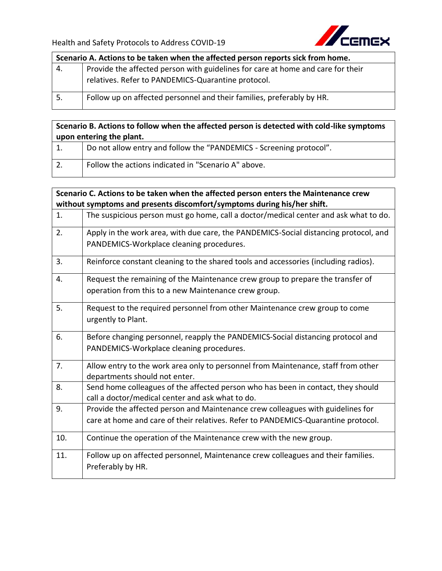

|            | Scenario A. Actions to be taken when the affected person reports sick from home. |  |  |  |  |
|------------|----------------------------------------------------------------------------------|--|--|--|--|
| $\vert 4.$ | Provide the affected person with guidelines for care at home and care for their  |  |  |  |  |
|            | relatives. Refer to PANDEMICS-Quarantine protocol.                               |  |  |  |  |
| ' 5.       | Follow up on affected personnel and their families, preferably by HR.            |  |  |  |  |

## **Scenario B. Actions to follow when the affected person is detected with cold-like symptoms upon entering the plant.**

| T. | Do not allow entry and follow the "PANDEMICS - Screening protocol". |
|----|---------------------------------------------------------------------|
|    | Follow the actions indicated in "Scenario A" above.                 |

|     | Scenario C. Actions to be taken when the affected person enters the Maintenance crew |  |  |  |  |  |
|-----|--------------------------------------------------------------------------------------|--|--|--|--|--|
|     | without symptoms and presents discomfort/symptoms during his/her shift.              |  |  |  |  |  |
| 1.  | The suspicious person must go home, call a doctor/medical center and ask what to do. |  |  |  |  |  |
| 2.  | Apply in the work area, with due care, the PANDEMICS-Social distancing protocol, and |  |  |  |  |  |
|     | PANDEMICS-Workplace cleaning procedures.                                             |  |  |  |  |  |
| 3.  | Reinforce constant cleaning to the shared tools and accessories (including radios).  |  |  |  |  |  |
| 4.  | Request the remaining of the Maintenance crew group to prepare the transfer of       |  |  |  |  |  |
|     | operation from this to a new Maintenance crew group.                                 |  |  |  |  |  |
| 5.  | Request to the required personnel from other Maintenance crew group to come          |  |  |  |  |  |
|     | urgently to Plant.                                                                   |  |  |  |  |  |
| 6.  | Before changing personnel, reapply the PANDEMICS-Social distancing protocol and      |  |  |  |  |  |
|     | PANDEMICS-Workplace cleaning procedures.                                             |  |  |  |  |  |
| 7.  | Allow entry to the work area only to personnel from Maintenance, staff from other    |  |  |  |  |  |
|     | departments should not enter.                                                        |  |  |  |  |  |
| 8.  | Send home colleagues of the affected person who has been in contact, they should     |  |  |  |  |  |
|     | call a doctor/medical center and ask what to do.                                     |  |  |  |  |  |
| 9.  | Provide the affected person and Maintenance crew colleagues with guidelines for      |  |  |  |  |  |
|     | care at home and care of their relatives. Refer to PANDEMICS-Quarantine protocol.    |  |  |  |  |  |
| 10. | Continue the operation of the Maintenance crew with the new group.                   |  |  |  |  |  |
| 11. | Follow up on affected personnel, Maintenance crew colleagues and their families.     |  |  |  |  |  |
|     | Preferably by HR.                                                                    |  |  |  |  |  |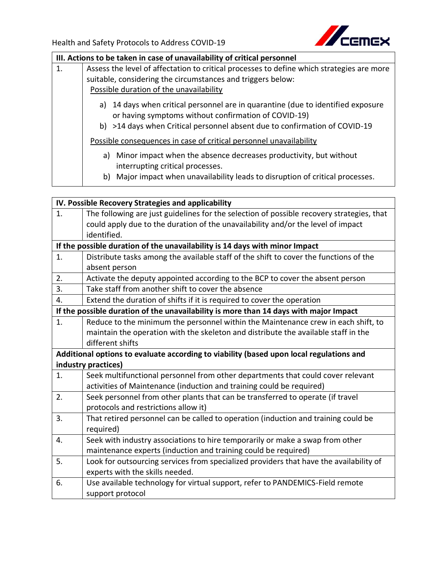

|    | III. Actions to be taken in case of unavailability of critical personnel                                                                 |  |  |  |  |  |
|----|------------------------------------------------------------------------------------------------------------------------------------------|--|--|--|--|--|
| 1. | Assess the level of affectation to critical processes to define which strategies are more                                                |  |  |  |  |  |
|    | suitable, considering the circumstances and triggers below:                                                                              |  |  |  |  |  |
|    | Possible duration of the unavailability                                                                                                  |  |  |  |  |  |
|    | a) 14 days when critical personnel are in quarantine (due to identified exposure<br>or having symptoms without confirmation of COVID-19) |  |  |  |  |  |
|    | b) >14 days when Critical personnel absent due to confirmation of COVID-19                                                               |  |  |  |  |  |
|    | Possible consequences in case of critical personnel unavailability                                                                       |  |  |  |  |  |
|    | Minor impact when the absence decreases productivity, but without<br>a)<br>interrupting critical processes.                              |  |  |  |  |  |
|    | Major impact when unavailability leads to disruption of critical processes.<br>b)                                                        |  |  |  |  |  |

|                  | IV. Possible Recovery Strategies and applicability                                        |  |  |  |  |
|------------------|-------------------------------------------------------------------------------------------|--|--|--|--|
| 1.               | The following are just guidelines for the selection of possible recovery strategies, that |  |  |  |  |
|                  | could apply due to the duration of the unavailability and/or the level of impact          |  |  |  |  |
|                  | identified.                                                                               |  |  |  |  |
|                  | If the possible duration of the unavailability is 14 days with minor Impact               |  |  |  |  |
| 1.               | Distribute tasks among the available staff of the shift to cover the functions of the     |  |  |  |  |
|                  | absent person                                                                             |  |  |  |  |
| 2.               | Activate the deputy appointed according to the BCP to cover the absent person             |  |  |  |  |
| $\overline{3}$ . | Take staff from another shift to cover the absence                                        |  |  |  |  |
| 4.               | Extend the duration of shifts if it is required to cover the operation                    |  |  |  |  |
|                  | If the possible duration of the unavailability is more than 14 days with major Impact     |  |  |  |  |
| 1.               | Reduce to the minimum the personnel within the Maintenance crew in each shift, to         |  |  |  |  |
|                  | maintain the operation with the skeleton and distribute the available staff in the        |  |  |  |  |
|                  | different shifts                                                                          |  |  |  |  |
|                  | Additional options to evaluate according to viability (based upon local regulations and   |  |  |  |  |
|                  | industry practices)                                                                       |  |  |  |  |
| 1.               | Seek multifunctional personnel from other departments that could cover relevant           |  |  |  |  |
|                  | activities of Maintenance (induction and training could be required)                      |  |  |  |  |
| 2.               | Seek personnel from other plants that can be transferred to operate (if travel            |  |  |  |  |
|                  | protocols and restrictions allow it)                                                      |  |  |  |  |
| 3.               | That retired personnel can be called to operation (induction and training could be        |  |  |  |  |
|                  | required)                                                                                 |  |  |  |  |
| 4.               | Seek with industry associations to hire temporarily or make a swap from other             |  |  |  |  |
|                  | maintenance experts (induction and training could be required)                            |  |  |  |  |
| 5.               | Look for outsourcing services from specialized providers that have the availability of    |  |  |  |  |
|                  | experts with the skills needed.                                                           |  |  |  |  |
| 6.               | Use available technology for virtual support, refer to PANDEMICS-Field remote             |  |  |  |  |
|                  |                                                                                           |  |  |  |  |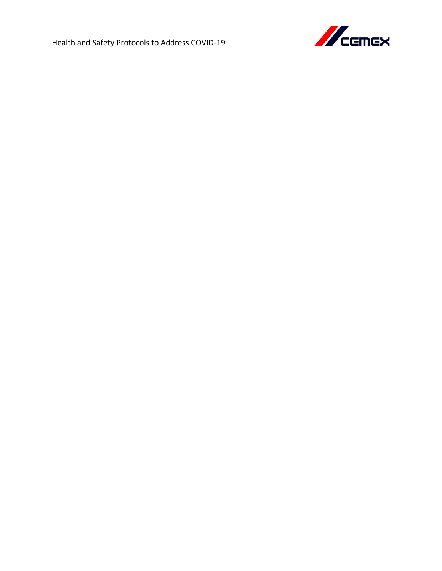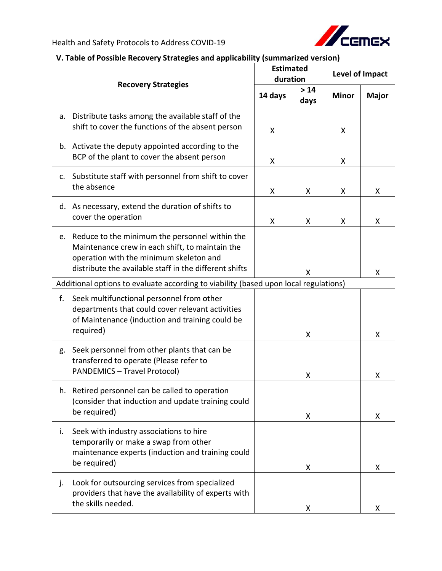

| V. Table of Possible Recovery Strategies and applicability (summarized version) |                                                                                                                                                                                                           |         |                              |              |                 |  |
|---------------------------------------------------------------------------------|-----------------------------------------------------------------------------------------------------------------------------------------------------------------------------------------------------------|---------|------------------------------|--------------|-----------------|--|
|                                                                                 |                                                                                                                                                                                                           |         | <b>Estimated</b><br>duration |              | Level of Impact |  |
| <b>Recovery Strategies</b>                                                      |                                                                                                                                                                                                           | 14 days | $>14$<br>days                | <b>Minor</b> | <b>Major</b>    |  |
| a.                                                                              | Distribute tasks among the available staff of the<br>shift to cover the functions of the absent person                                                                                                    | X       |                              | Χ            |                 |  |
|                                                                                 | b. Activate the deputy appointed according to the<br>BCP of the plant to cover the absent person                                                                                                          | x       |                              | X            |                 |  |
| c.                                                                              | Substitute staff with personnel from shift to cover<br>the absence                                                                                                                                        | X       | X                            | X            | X               |  |
|                                                                                 | d. As necessary, extend the duration of shifts to<br>cover the operation                                                                                                                                  | X       | X                            | Χ            | X               |  |
|                                                                                 | e. Reduce to the minimum the personnel within the<br>Maintenance crew in each shift, to maintain the<br>operation with the minimum skeleton and<br>distribute the available staff in the different shifts |         | X                            |              | X               |  |
|                                                                                 | Additional options to evaluate according to viability (based upon local regulations)                                                                                                                      |         |                              |              |                 |  |
| f.                                                                              | Seek multifunctional personnel from other<br>departments that could cover relevant activities<br>of Maintenance (induction and training could be<br>required)                                             |         |                              |              |                 |  |
| g.                                                                              | Seek personnel from other plants that can be<br>transferred to operate (Please refer to<br><b>PANDEMICS - Travel Protocol)</b>                                                                            |         | χ<br>Χ                       |              | X<br>Χ          |  |
| h.                                                                              | Retired personnel can be called to operation<br>(consider that induction and update training could<br>be required)                                                                                        |         | X                            |              | X               |  |
| i.                                                                              | Seek with industry associations to hire<br>temporarily or make a swap from other<br>maintenance experts (induction and training could<br>be required)                                                     |         | Χ                            |              | X               |  |
| j.                                                                              | Look for outsourcing services from specialized<br>providers that have the availability of experts with<br>the skills needed.                                                                              |         | Χ                            |              | X               |  |